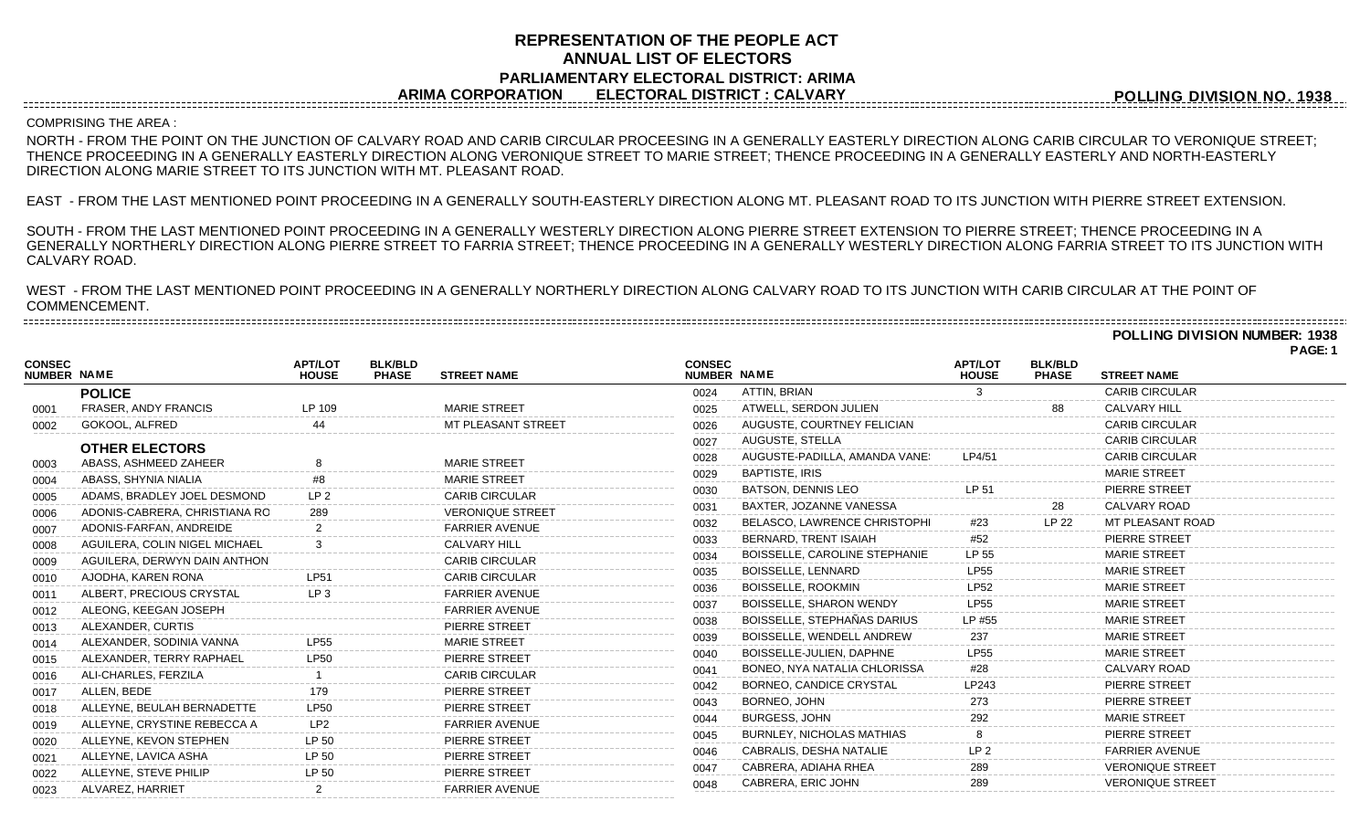## **REPRESENTATION OF THE PEOPLE ACT ANNUAL LIST OF ELECTORS PARLIAMENTARY ELECTORAL DISTRICT: ARIMA ARIMA CORPORATION ELECTORAL DISTRICT : CALVARY**

**POLLING DIVISION NO. 1938**

## COMPRISING THE AREA :

NORTH - FROM THE POINT ON THE JUNCTION OF CALVARY ROAD AND CARIB CIRCULAR PROCEESING IN A GENERALLY EASTERLY DIRECTION ALONG CARIB CIRCULAR TO VERONIQUE STREET; THENCE PROCEEDING IN A GENERALLY EASTERLY DIRECTION ALONG VERONIQUE STREET TO MARIE STREET; THENCE PROCEEDING IN A GENERALLY EASTERLY AND NORTH-EASTERLY DIRECTION ALONG MARIE STREET TO ITS JUNCTION WITH MT. PLEASANT ROAD.

EAST - FROM THE LAST MENTIONED POINT PROCEEDING IN A GENERALLY SOUTH-EASTERLY DIRECTION ALONG MT. PLEASANT ROAD TO ITS JUNCTION WITH PIERRE STREET EXTENSION.

SOUTH - FROM THE LAST MENTIONED POINT PROCEEDING IN A GENERALLY WESTERLY DIRECTION ALONG PIERRE STREET EXTENSION TO PIERRE STREET; THENCE PROCEEDING IN A GENERALLY NORTHERLY DIRECTION ALONG PIERRE STREET TO FARRIA STREET; THENCE PROCEEDING IN A GENERALLY WESTERLY DIRECTION ALONG FARRIA STREET TO ITS JUNCTION WITH CALVARY ROAD.

WEST - FROM THE LAST MENTIONED POINT PROCEEDING IN A GENERALLY NORTHERLY DIRECTION ALONG CALVARY ROAD TO ITS JUNCTION WITH CARIB CIRCULAR AT THE POINT OF COMMENCEMENT. 

**POLLING DIVISION NUMBER: 1938**

|                                     |                               |                                |                                                      |                              |                                     |                                |                                |                         | PAGE: 1 |
|-------------------------------------|-------------------------------|--------------------------------|------------------------------------------------------|------------------------------|-------------------------------------|--------------------------------|--------------------------------|-------------------------|---------|
| <b>CONSEC</b><br><b>NUMBER NAME</b> |                               | <b>APT/LOT</b><br><b>HOUSE</b> | <b>BLK/BLD</b><br><b>PHASE</b><br><b>STREET NAME</b> | <b>CONSEC</b><br>NUMBER NAME |                                     | <b>APT/LOT</b><br><b>HOUSE</b> | <b>BLK/BLD</b><br><b>PHASE</b> | <b>STREET NAME</b>      |         |
|                                     | <b>POLICE</b>                 |                                |                                                      | 0024                         | ATTIN, BRIAN                        |                                |                                | <b>CARIB CIRCULAR</b>   |         |
| 0001                                | <b>FRASER, ANDY FRANCIS</b>   | LP 109                         | <b>MARIE STREET</b>                                  | 0025                         | ATWELL, SERDON JULIEN               |                                | 88                             | <b>CALVARY HILL</b>     |         |
| 0002                                | GOKOOL, ALFRED                | 44                             | MT PLEASANT STREET                                   | 0026                         | AUGUSTE, COURTNEY FELICIAN          |                                |                                | <b>CARIB CIRCULAR</b>   |         |
|                                     | <b>OTHER ELECTORS</b>         |                                |                                                      | 0027                         | AUGUSTE, STELLA                     |                                |                                | <b>CARIB CIRCULAR</b>   |         |
| 0003                                | ABASS, ASHMEED ZAHEER         |                                | <b>MARIE STREET</b>                                  | 0028                         | AUGUSTE-PADILLA, AMANDA VANE!       | LP4/51                         |                                | <b>CARIB CIRCULAR</b>   |         |
| 0004                                | ABASS, SHYNIA NIALIA          | #8                             | <b>MARIE STREET</b>                                  | 0029                         | <b>BAPTISTE, IRIS</b>               |                                |                                | <b>MARIE STREET</b>     |         |
| 0005                                | ADAMS, BRADLEY JOEL DESMOND   | LP <sub>2</sub>                | <b>CARIB CIRCULAR</b>                                | 0030                         | <b>BATSON, DENNIS LEO</b>           | LP 51                          |                                | PIERRE STREET           |         |
| 0006                                | ADONIS-CABRERA, CHRISTIANA RO | 289                            | <b>VERONIQUE STREET</b>                              | 0031                         | BAXTER, JOZANNE VANESSA             |                                | 28                             | CALVARY ROAD            |         |
| 0007                                | ADONIS-FARFAN, ANDREIDE       |                                | <b>FARRIER AVENUE</b>                                | 0032                         | BELASCO, LAWRENCE CHRISTOPHI        | #23                            | LP 22                          | MT PLEASANT ROAD        |         |
| 0008                                | AGUILERA, COLIN NIGEL MICHAEL |                                | <b>CALVARY HILL</b>                                  | 0033                         | BERNARD, TRENT ISAIAH               | #52                            |                                | PIERRE STREET           |         |
| 0009                                | AGUILERA, DERWYN DAIN ANTHON  |                                | <b>CARIB CIRCULAR</b>                                | 0034                         | BOISSELLE, CAROLINE STEPHANIE       | LP 55                          |                                | <b>MARIE STREET</b>     |         |
| 0010                                | AJODHA, KAREN RONA            | <b>LP51</b>                    | <b>CARIB CIRCULAR</b>                                | 0035                         | BOISSELLE, LENNARD                  | <b>LP55</b>                    |                                | <b>MARIE STREET</b>     |         |
| 0011                                | ALBERT, PRECIOUS CRYSTAL      | LP <sub>3</sub>                | <b>FARRIER AVENUE</b>                                | 0036                         | <b>BOISSELLE, ROOKMIN</b>           | <b>LP52</b>                    |                                | <b>MARIE STREET</b>     |         |
| 0012                                | ALEONG, KEEGAN JOSEPH         |                                | <b>FARRIER AVENUE</b>                                | 0037                         | <b>BOISSELLE, SHARON WENDY</b>      | <b>LP55</b>                    |                                | <b>MARIE STREET</b>     |         |
| 0013                                | ALEXANDER, CURTIS             |                                | PIERRE STREET                                        | 0038                         | BOISSELLE, STEPHAÑAS DARIUS         | LP #55                         |                                | <b>MARIE STREET</b>     |         |
| 0014                                | ALEXANDER, SODINIA VANNA      | <b>LP55</b>                    | <b>MARIE STREET</b>                                  | 0039                         | BOISSELLE, WENDELL ANDREW           | 237                            |                                | <b>MARIE STREET</b>     |         |
| 0015                                | ALEXANDER, TERRY RAPHAEL      | <b>LP50</b>                    | PIERRE STREET                                        | 0040                         | BOISSELLE-JULIEN, DAPHNE            | <b>LP55</b>                    |                                | <b>MARIE STREET</b>     |         |
| 0016                                | ALI-CHARLES, FERZILA          |                                | <b>CARIB CIRCULAR</b>                                | 0041                         | <b>BONEO, NYA NATALIA CHLORISSA</b> | #28                            |                                | <b>CALVARY ROAD</b>     |         |
| 0017                                | ALLEN, BEDE                   | 179                            | PIERRE STREET                                        | 0042                         | BORNEO, CANDICE CRYSTAL             | I P <sub>243</sub>             |                                | PIERRE STREET           |         |
| 0018                                | ALLEYNE, BEULAH BERNADETTE    | <b>LP50</b>                    | PIERRE STREET                                        | 0043                         | BORNEO, JOHN                        | 273                            |                                | PIERRE STREET           |         |
| 0019                                | ALLEYNE, CRYSTINE REBECCA A   | LP2                            | <b>FARRIER AVENUE</b>                                | 0044                         | <b>BURGESS, JOHN</b>                | 292                            |                                | <b>MARIE STREET</b>     |         |
| 0020                                | ALLEYNE, KEVON STEPHEN        | LP 50                          | PIERRE STREET                                        | 0045                         | <b>BURNLEY, NICHOLAS MATHIAS</b>    |                                |                                | PIERRE STREET           |         |
| 0021                                | ALLEYNE, LAVICA ASHA          | LP 50                          | PIERRE STREET                                        | 0046                         | CABRALIS, DESHA NATALIE             | LP <sub>2</sub>                |                                | <b>FARRIER AVENUE</b>   |         |
| 0022                                | ALLEYNE, STEVE PHILIP         | LP 50                          | PIERRE STREET                                        | 0047                         | CABRERA, ADIAHA RHEA                | 289                            |                                | <b>VERONIQUE STREET</b> |         |
| 0023                                | ALVAREZ, HARRIET              |                                | <b>FARRIER AVENUE</b>                                | 0048                         | CABRERA, ERIC JOHN                  | 289                            |                                | <b>VERONIQUE STREET</b> |         |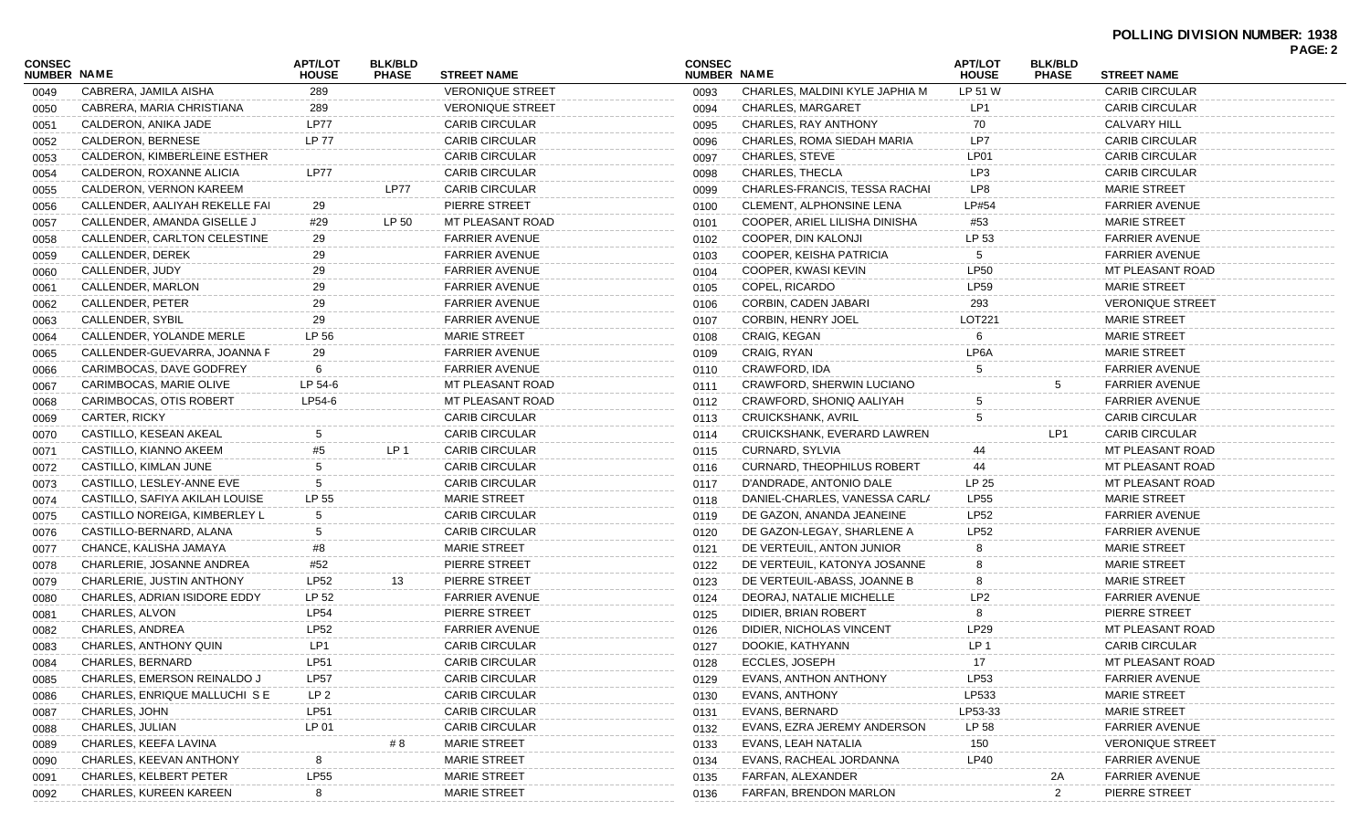| <b>CONSEC</b>      |                                | <b>APT/LOT</b>  | <b>BLK/BLD</b>  |                         | <b>CONSEC</b> |                                   | <b>APT/LOT</b>  | <b>BLK/BLD</b>       |                         | PAGE: 2 |
|--------------------|--------------------------------|-----------------|-----------------|-------------------------|---------------|-----------------------------------|-----------------|----------------------|-------------------------|---------|
| <b>NUMBER NAME</b> |                                | <b>HOUSE</b>    | <b>PHASE</b>    | <b>STREET NAME</b>      | NUMBER NAME   |                                   | <b>HOUSE</b>    | <b>PHASE</b>         | <b>STREET NAME</b>      |         |
| 0049               | CABRERA, JAMILA AISHA          | 289             |                 | <b>VERONIQUE STREET</b> | 0093          | CHARLES, MALDINI KYLE JAPHIA M    | LP 51 W         |                      | <b>CARIB CIRCULAR</b>   |         |
| 0050               | CABRERA, MARIA CHRISTIANA      | 289             |                 | <b>VERONIQUE STREET</b> | 0094          | <b>CHARLES, MARGARET</b>          | LP <sub>1</sub> |                      | <b>CARIB CIRCULAR</b>   |         |
| 0051               | CALDERON, ANIKA JADE           | LP77            |                 | <b>CARIB CIRCULAR</b>   | 0095          | CHARLES, RAY ANTHONY              | 70              |                      | <b>CALVARY HILL</b>     |         |
| 0052               | CALDERON, BERNESE              | <b>LP 77</b>    |                 | <b>CARIB CIRCULAR</b>   | 0096          | CHARLES, ROMA SIEDAH MARIA        | LP7             |                      | <b>CARIB CIRCULAR</b>   |         |
| 0053               | CALDERON, KIMBERLEINE ESTHER   |                 |                 | <b>CARIB CIRCULAR</b>   | 0097          | <b>CHARLES, STEVE</b>             | LP01            |                      | <b>CARIB CIRCULAR</b>   |         |
| 0054               | CALDERON, ROXANNE ALICIA       | LP77            |                 | <b>CARIB CIRCULAR</b>   | 0098          | CHARLES, THECLA                   | LP3             |                      | <b>CARIB CIRCULAR</b>   |         |
| 0055               | CALDERON, VERNON KAREEM        |                 | <b>LP77</b>     | <b>CARIB CIRCULAR</b>   | 0099          | CHARLES-FRANCIS, TESSA RACHAI     | LP8             |                      | <b>MARIE STREET</b>     |         |
| 0056               | CALLENDER, AALIYAH REKELLE FAI | 29              |                 | PIERRE STREET           | 0100          | CLEMENT, ALPHONSINE LENA          | LP#54           |                      | <b>FARRIER AVENUE</b>   |         |
| 0057               | CALLENDER, AMANDA GISELLE J    | #29             | LP 50           | MT PLEASANT ROAD        | 0101          | COOPER, ARIEL LILISHA DINISHA     | #53             |                      | <b>MARIE STREET</b>     |         |
| 0058               | CALLENDER, CARLTON CELESTINE   | 29              |                 | <b>FARRIER AVENUE</b>   | 0102          | COOPER, DIN KALONJI               | LP 53           |                      | <b>FARRIER AVENUE</b>   |         |
| 0059               | CALLENDER, DEREK               | 29              |                 | <b>FARRIER AVENUE</b>   | 0103          | COOPER, KEISHA PATRICIA           |                 |                      | <b>FARRIER AVENUE</b>   |         |
| 0060               | CALLENDER, JUDY                | 29              |                 | <b>FARRIER AVENUE</b>   | 0104          | COOPER, KWASI KEVIN               | <b>LP50</b>     |                      | MT PLEASANT ROAD        |         |
| 0061               | CALLENDER, MARLON              | 29              |                 | <b>FARRIER AVENUE</b>   | 0105          | COPEL, RICARDO                    | LP59            |                      | <b>MARIE STREET</b>     |         |
| 0062               | CALLENDER, PETER               | 29              |                 | <b>FARRIER AVENUE</b>   | 0106          | CORBIN, CADEN JABARI              | 293             |                      | <b>VERONIQUE STREET</b> |         |
| 0063               | CALLENDER, SYBIL               | 29              |                 | <b>FARRIER AVENUE</b>   | 0107          | <b>CORBIN, HENRY JOEL</b>         | LOT221          |                      | <b>MARIE STREET</b>     |         |
| 0064               | CALLENDER, YOLANDE MERLE       | LP 56           |                 | <b>MARIE STREET</b>     | 0108          | CRAIG, KEGAN                      |                 |                      | <b>MARIE STREET</b>     |         |
| 0065               | CALLENDER-GUEVARRA, JOANNA F   | 29              |                 | <b>FARRIER AVENUE</b>   | 0109          | CRAIG, RYAN                       | LP6A            |                      | <b>MARIE STREET</b>     |         |
| 0066               | CARIMBOCAS, DAVE GODFREY       | 6               |                 | FARRIER AVENUE          | 0110          | CRAWFORD, IDA                     | 5               |                      | <b>FARRIER AVENUE</b>   |         |
| 0067               | CARIMBOCAS, MARIE OLIVE        | LP 54-6         |                 | MT PLEASANT ROAD        | 0111          | CRAWFORD, SHERWIN LUCIANO         |                 | 5                    | <b>FARRIER AVENUE</b>   |         |
| 0068               | CARIMBOCAS, OTIS ROBERT        | LP54-6          |                 | <b>MT PLEASANT ROAD</b> | 0112          | CRAWFORD, SHONIQ AALIYAH          |                 |                      | <b>FARRIER AVENUE</b>   |         |
| 0069               | CARTER, RICKY                  |                 |                 | <b>CARIB CIRCULAR</b>   | 0113          | <b>CRUICKSHANK, AVRIL</b>         | 5               |                      | <b>CARIB CIRCULAR</b>   |         |
| 0070               | CASTILLO, KESEAN AKEAL         | 5               |                 | <b>CARIB CIRCULAR</b>   | 0114          | CRUICKSHANK, EVERARD LAWREN       |                 | LP1                  | <b>CARIB CIRCULAR</b>   |         |
| 0071               | CASTILLO, KIANNO AKEEM         | #5              | LP <sub>1</sub> | <b>CARIB CIRCULAR</b>   | 0115          | CURNARD, SYLVIA                   | 44              |                      | MT PLEASANT ROAD        |         |
| 0072               | CASTILLO, KIMLAN JUNE          | 5               |                 | <b>CARIB CIRCULAR</b>   | 0116          | <b>CURNARD, THEOPHILUS ROBERT</b> | 44              |                      | MT PLEASANT ROAD        |         |
| 0073               | CASTILLO, LESLEY-ANNE EVE      | 5               |                 | <b>CARIB CIRCULAR</b>   | 0117          | D'ANDRADE, ANTONIO DALE           | LP 25           |                      | MT PLEASANT ROAD        |         |
| 0074               | CASTILLO, SAFIYA AKILAH LOUISE | LP 55           |                 | <b>MARIE STREET</b>     | 0118          | DANIEL-CHARLES, VANESSA CARLA     | <b>LP55</b>     |                      | <b>MARIE STREET</b>     |         |
| 0075               | CASTILLO NOREIGA, KIMBERLEY L  | 5               |                 | <b>CARIB CIRCULAR</b>   | 0119          | DE GAZON, ANANDA JEANEINE         | <b>LP52</b>     |                      | <b>FARRIER AVENUE</b>   |         |
| 0076               | CASTILLO-BERNARD, ALANA        | 5               |                 | <b>CARIB CIRCULAR</b>   | 0120          | DE GAZON-LEGAY, SHARLENE A        | <b>LP52</b>     |                      | <b>FARRIER AVENUE</b>   |         |
| 0077               | CHANCE, KALISHA JAMAYA         | #8              |                 | <b>MARIE STREET</b>     | 0121          | DE VERTEUIL, ANTON JUNIOR         |                 |                      | <b>MARIE STREET</b>     |         |
| 0078               | CHARLERIE, JOSANNE ANDREA      | #52             |                 | PIERRE STREET           | 0122          | DE VERTEUIL, KATONYA JOSANNE      |                 |                      | <b>MARIE STREET</b>     |         |
| 0079               | CHARLERIE, JUSTIN ANTHONY      | LP52            | 13              | PIERRE STREET           | 0123          | DE VERTEUIL-ABASS, JOANNE B       |                 |                      | <b>MARIE STREET</b>     |         |
| 0080               | CHARLES, ADRIAN ISIDORE EDDY   | LP 52           |                 | <b>FARRIER AVENUE</b>   | 0124          | DEORAJ, NATALIE MICHELLE          | LP <sub>2</sub> |                      | <b>FARRIER AVENUE</b>   |         |
| 0081               | CHARLES, ALVON                 | <b>LP54</b>     |                 | PIERRE STREET           | 0125          | DIDIER, BRIAN ROBERT              |                 |                      | PIERRE STREET           |         |
| 0082               | <b>CHARLES, ANDREA</b>         | <b>LP52</b>     |                 | <b>FARRIER AVENUE</b>   | 0126          | DIDIER, NICHOLAS VINCENT          | LP29            |                      | MT PLEASANT ROAD        |         |
| 0083               | CHARLES, ANTHONY QUIN          | LP1             |                 | <b>CARIB CIRCULAR</b>   | 0127          | DOOKIE, KATHYANN                  | LP <sub>1</sub> |                      | <b>CARIB CIRCULAR</b>   |         |
| 0084               | <b>CHARLES, BERNARD</b>        | <b>LP51</b>     |                 | CARIB CIRCULAR          | 0128          | ECCLES, JOSEPH                    | 17              |                      | MT PLEASANT ROAD        |         |
| 0085               | CHARLES, EMERSON REINALDO J    | <b>LP57</b>     |                 | <b>CARIB CIRCULAR</b>   | 0129          | EVANS, ANTHON ANTHONY             | <b>LP53</b>     |                      | <b>FARRIER AVENUE</b>   |         |
| 0086               | CHARLES, ENRIQUE MALLUCHI S E  | LP <sub>2</sub> |                 | <b>CARIB CIRCULAR</b>   | 0130          | <b>EVANS, ANTHONY</b>             | LP533           |                      | <b>MARIE STREET</b>     |         |
| 0087               | CHARLES, JOHN                  | <b>LP51</b>     |                 | CARIB CIRCULAR          | 0131          | <b>EVANS, BERNARD</b>             | LP53-33         |                      | <b>MARIE STREET</b>     |         |
| 0088               | CHARLES, JULIAN                | LP 01           |                 | <b>CARIB CIRCULAR</b>   | 0132          | EVANS, EZRA JEREMY ANDERSON       | LP 58           |                      | <b>FARRIER AVENUE</b>   |         |
| 0089               | CHARLES, KEEFA LAVINA          |                 | # 8             | <b>MARIE STREET</b>     | 0133          | EVANS, LEAH NATALIA               | 150             |                      | <b>VERONIQUE STREET</b> |         |
| 0090               | CHARLES, KEEVAN ANTHONY        | 8               |                 | <b>MARIE STREET</b>     | 0134          | EVANS, RACHEAL JORDANNA           | LP40            |                      | <b>FARRIER AVENUE</b>   |         |
| 0091               | CHARLES, KELBERT PETER         | <b>LP55</b>     |                 | <b>MARIE STREET</b>     | 0135          | FARFAN, ALEXANDER                 |                 |                      | <b>FARRIER AVENUE</b>   |         |
| 0092               | CHARLES, KUREEN KAREEN         | 8               |                 | <b>MARIE STREET</b>     | 0136          | FARFAN, BRENDON MARLON            |                 | 2A<br>$\overline{2}$ | PIERRE STREET           |         |
|                    |                                |                 |                 |                         |               |                                   |                 |                      |                         |         |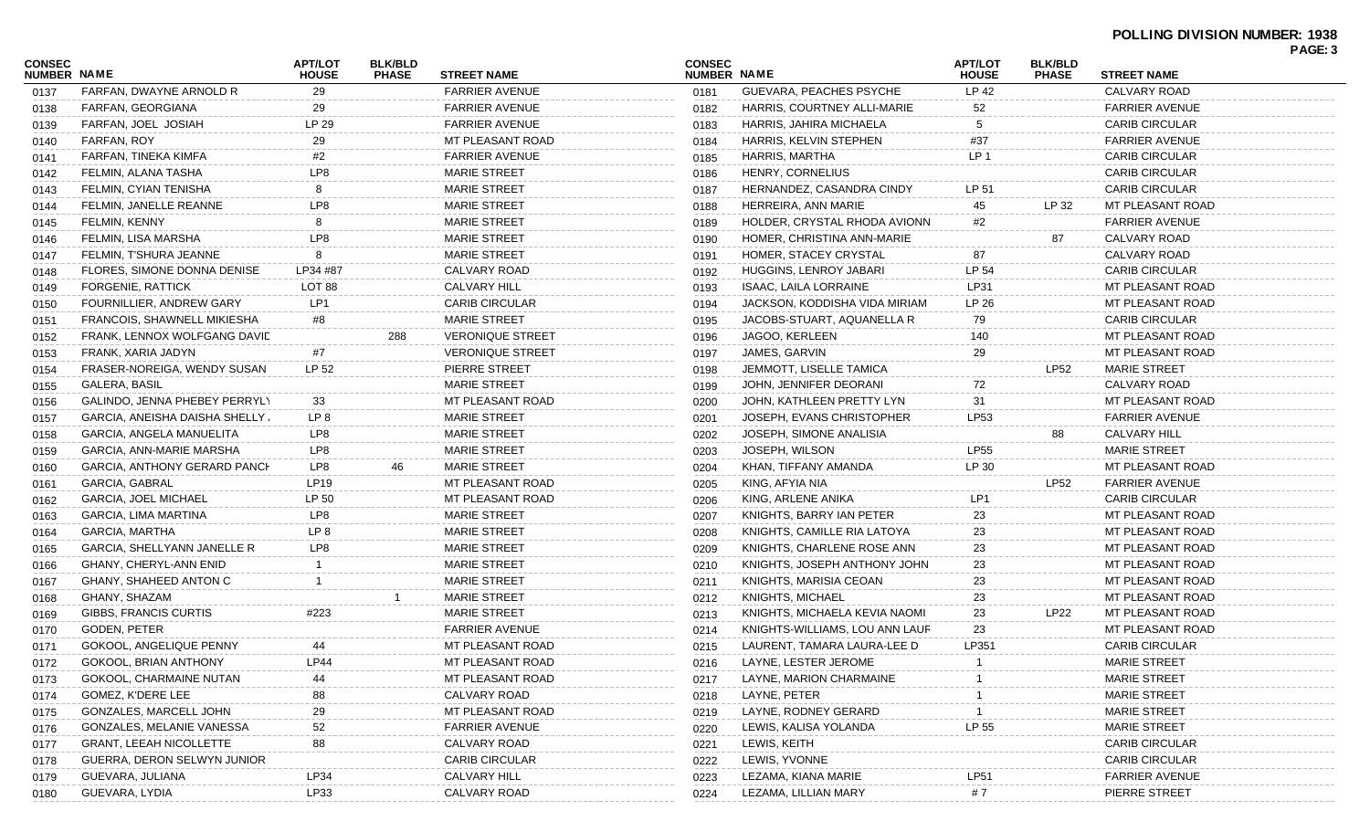## **POLLING DIVISION NUMBER: 1938 PAGE: 3**

|                              |                                |                                |                                |                         |                                     |                                |                                |                                |                       | <b>PAUL J</b> |
|------------------------------|--------------------------------|--------------------------------|--------------------------------|-------------------------|-------------------------------------|--------------------------------|--------------------------------|--------------------------------|-----------------------|---------------|
| CONSEC<br><b>NUMBER NAME</b> |                                | <b>APT/LOT</b><br><b>HOUSE</b> | <b>BLK/BLD</b><br><b>PHASE</b> | <b>STREET NAME</b>      | <b>CONSEC</b><br><b>NUMBER NAME</b> |                                | <b>APT/LOT</b><br><b>HOUSE</b> | <b>BLK/BLD</b><br><b>PHASE</b> | <b>STREET NAME</b>    |               |
| 0137                         | FARFAN, DWAYNE ARNOLD R        | 29                             |                                | <b>FARRIER AVENUE</b>   | 0181                                | GUEVARA, PEACHES PSYCHE        | LP 42                          |                                | CALVARY ROAD          |               |
| 0138                         | FARFAN, GEORGIANA              | 29                             |                                | <b>FARRIER AVENUE</b>   | 0182                                | HARRIS, COURTNEY ALLI-MARIE    | 52                             |                                | <b>FARRIER AVENUE</b> |               |
| 0139                         | FARFAN, JOEL JOSIAH            | LP 29                          |                                | <b>FARRIER AVENUE</b>   | 0183                                | HARRIS, JAHIRA MICHAELA        | -5                             |                                | <b>CARIB CIRCULAR</b> |               |
| 0140                         | FARFAN, ROY                    | 29                             |                                | MT PLEASANT ROAD        | 0184                                | HARRIS, KELVIN STEPHEN         | #37                            |                                | <b>FARRIER AVENUE</b> |               |
| 0141                         | FARFAN, TINEKA KIMFA           | #2                             |                                | <b>FARRIER AVENUE</b>   | 0185                                | HARRIS, MARTHA                 | LP <sub>1</sub>                |                                | <b>CARIB CIRCULAR</b> |               |
| 0142                         | FELMIN, ALANA TASHA            | LP8                            |                                | <b>MARIE STREET</b>     | 0186                                | HENRY, CORNELIUS               |                                |                                | <b>CARIB CIRCULAR</b> |               |
| 0143                         | FELMIN, CYIAN TENISHA          | 8                              |                                | <b>MARIE STREET</b>     | 0187                                | HERNANDEZ, CASANDRA CINDY      | LP 51                          |                                | <b>CARIB CIRCULAR</b> |               |
| 0144                         | FELMIN, JANELLE REANNE         | LP8                            |                                | <b>MARIE STREET</b>     | 0188                                | HERREIRA, ANN MARIE            | 45                             | LP 32                          | MT PLEASANT ROAD      |               |
| 0145                         | FELMIN, KENNY                  | 8                              |                                | <b>MARIE STREET</b>     | 0189                                | HOLDER, CRYSTAL RHODA AVIONN   | #2                             |                                | <b>FARRIER AVENUE</b> |               |
| 0146                         | FELMIN, LISA MARSHA            | LP8                            |                                | <b>MARIE STREET</b>     | 0190                                | HOMER, CHRISTINA ANN-MARIE     |                                | 87                             | CALVARY ROAD          |               |
| 0147                         | FELMIN, T'SHURA JEANNE         | 8                              |                                | <b>MARIE STREET</b>     | 0191                                | HOMER, STACEY CRYSTAL          | 87                             |                                | CALVARY ROAD          |               |
| 0148                         | FLORES, SIMONE DONNA DENISE    | LP34 #87                       |                                | CALVARY ROAD            | 0192                                | HUGGINS, LENROY JABARI         | LP 54                          |                                | <b>CARIB CIRCULAR</b> |               |
| 0149                         | FORGENIE, RATTICK              | LOT 88                         |                                | CALVARY HILL            | 0193                                | <b>ISAAC, LAILA LORRAINE</b>   | LP31                           |                                | MT PLEASANT ROAD      |               |
| 0150                         | FOURNILLIER, ANDREW GARY       | LP1                            |                                | <b>CARIB CIRCULAR</b>   | 0194                                | JACKSON, KODDISHA VIDA MIRIAM  | LP 26                          |                                | MT PLEASANT ROAD      |               |
| 0151                         | FRANCOIS, SHAWNELL MIKIESHA    | #8                             |                                | <b>MARIE STREET</b>     | 0195                                | JACOBS-STUART, AQUANELLA R     | 79                             |                                | <b>CARIB CIRCULAR</b> |               |
| 0152                         | FRANK, LENNOX WOLFGANG DAVID   |                                | 288                            | <b>VERONIQUE STREET</b> | 0196                                | JAGOO, KERLEEN                 | 140                            |                                | MT PLEASANT ROAD      |               |
| 0153                         | FRANK, XARIA JADYN             | #7                             |                                | <b>VERONIQUE STREET</b> | 0197                                | JAMES, GARVIN                  | 29                             |                                | MT PLEASANT ROAD      |               |
| 0154                         | FRASER-NOREIGA, WENDY SUSAN    | LP 52                          |                                | PIERRE STREET           | 0198                                | JEMMOTT, LISELLE TAMICA        |                                | LP52                           | <b>MARIE STREET</b>   |               |
| 0155                         | GALERA, BASIL                  |                                |                                | <b>MARIE STREET</b>     | 0199                                | JOHN, JENNIFER DEORANI         | 72                             |                                | CALVARY ROAD          |               |
| 0156                         | GALINDO, JENNA PHEBEY PERRYLY  | 33                             |                                | MT PLEASANT ROAD        | 0200                                | JOHN, KATHLEEN PRETTY LYN      | 31                             |                                | MT PLEASANT ROAD      |               |
| 0157                         | GARCIA, ANEISHA DAISHA SHELLY. | LP 8                           |                                | <b>MARIE STREET</b>     | 0201                                | JOSEPH, EVANS CHRISTOPHER      | LP53                           |                                | <b>FARRIER AVENUE</b> |               |
| 0158                         | GARCIA, ANGELA MANUELITA       | LP8                            |                                | <b>MARIE STREET</b>     | 0202                                | JOSEPH, SIMONE ANALISIA        |                                | 88                             | <b>CALVARY HILL</b>   |               |
| 0159                         | GARCIA, ANN-MARIE MARSHA       | LP8                            |                                | <b>MARIE STREET</b>     | 0203                                | JOSEPH, WILSON                 | <b>LP55</b>                    |                                | <b>MARIE STREET</b>   |               |
| 0160                         | GARCIA, ANTHONY GERARD PANCH   | LP8                            |                                | <b>MARIE STREET</b>     | 0204                                | KHAN, TIFFANY AMANDA           | LP 30                          |                                | MT PLEASANT ROAD      |               |
| 0161                         | GARCIA, GABRAL                 | LP19                           |                                | MT PLEASANT ROAD        | 0205                                | KING, AFYIA NIA                |                                | <b>LP52</b>                    | <b>FARRIER AVENUE</b> |               |
| 0162                         | GARCIA, JOEL MICHAEL           | LP 50                          |                                | MT PLEASANT ROAD        | 0206                                | KING, ARLENE ANIKA             | LP1                            |                                | <b>CARIB CIRCULAR</b> |               |
| 0163                         | GARCIA, LIMA MARTINA           | LP8                            |                                | <b>MARIE STREET</b>     | 0207                                | KNIGHTS, BARRY IAN PETER       | 23                             |                                | MT PLEASANT ROAD      |               |
| 0164                         | GARCIA, MARTHA                 | LP <sub>8</sub>                |                                | <b>MARIE STREET</b>     | 0208                                | KNIGHTS, CAMILLE RIA LATOYA    | 23                             |                                | MT PLEASANT ROAD      |               |
| 0165                         | GARCIA, SHELLYANN JANELLE R    | LP8                            |                                | <b>MARIE STREET</b>     | 0209                                | KNIGHTS, CHARLENE ROSE ANN     | 23                             |                                | MT PLEASANT ROAD      |               |
| 0166                         | GHANY, CHERYL-ANN ENID         |                                |                                | <b>MARIE STREET</b>     | 0210                                | KNIGHTS, JOSEPH ANTHONY JOHN   | 23                             |                                | MT PLEASANT ROAD      |               |
| 0167                         | GHANY, SHAHEED ANTON C         |                                |                                | <b>MARIE STREET</b>     | 0211                                | KNIGHTS, MARISIA CEOAN         | 23                             |                                | MT PLEASANT ROAD      |               |
| 0168                         | GHANY, SHAZAM                  |                                |                                | <b>MARIE STREET</b>     | 0212                                | KNIGHTS, MICHAEL               | 23                             |                                | MT PLEASANT ROAD      |               |
| 0169                         | GIBBS, FRANCIS CURTIS          | #223                           |                                | <b>MARIE STREET</b>     | 0213                                | KNIGHTS, MICHAELA KEVIA NAOMI  | 23                             | LP22                           | MT PLEASANT ROAD      |               |
| 0170                         | GODEN, PETER                   |                                |                                | <b>FARRIER AVENUE</b>   | 0214                                | KNIGHTS-WILLIAMS, LOU ANN LAUR | 23                             |                                | MT PLEASANT ROAD      |               |
| 0171                         | GOKOOL, ANGELIQUE PENNY        | 44                             |                                | MT PLEASANT ROAD        | 0215                                | LAURENT, TAMARA LAURA-LEE D    | LP351                          |                                | <b>CARIB CIRCULAR</b> |               |
| 0172                         | GOKOOL, BRIAN ANTHONY          | <b>LP44</b>                    |                                | MT PLEASANT ROAD        | 0216                                | LAYNE, LESTER JEROME           |                                |                                | <b>MARIE STREET</b>   |               |
| 0173                         | GOKOOL, CHARMAINE NUTAN        | 44                             |                                | MT PLEASANT ROAD        | 0217                                | LAYNE, MARION CHARMAINE        |                                |                                | <b>MARIE STREET</b>   |               |
| 0174                         | GOMEZ, K'DERE LEE              | 88                             |                                | <b>CALVARY ROAD</b>     | 0218                                | LAYNE, PETER                   |                                |                                | <b>MARIE STREET</b>   |               |
| 0175                         | GONZALES, MARCELL JOHN         | 29                             |                                | MT PLEASANT ROAD        | 0219                                | LAYNE, RODNEY GERARD           |                                |                                | <b>MARIE STREET</b>   |               |
| 0176                         | GONZALES, MELANIE VANESSA      | 52                             |                                | <b>FARRIER AVENUE</b>   | 0220                                | LEWIS, KALISA YOLANDA          | LP 55                          |                                | <b>MARIE STREET</b>   |               |
| 0177                         | <b>GRANT, LEEAH NICOLLETTE</b> | 88                             |                                | <b>CALVARY ROAD</b>     | 0221                                | LEWIS, KEITH                   |                                |                                | <b>CARIB CIRCULAR</b> |               |
| 0178                         | GUERRA, DERON SELWYN JUNIOR    |                                |                                | <b>CARIB CIRCULAR</b>   | 0222                                | LEWIS, YVONNE                  |                                |                                | <b>CARIB CIRCULAR</b> |               |
| 0179                         | GUEVARA, JULIANA               | LP34                           |                                | <b>CALVARY HILL</b>     | 0223                                | LEZAMA, KIANA MARIE            | LP51                           |                                | <b>FARRIER AVENUE</b> |               |
| 0180                         | GUEVARA, LYDIA                 | LP33                           |                                | CALVARY ROAD            | 0224                                | LEZAMA, LILLIAN MARY           | #7                             |                                | PIERRE STREET         |               |
|                              |                                |                                |                                |                         |                                     |                                |                                |                                |                       |               |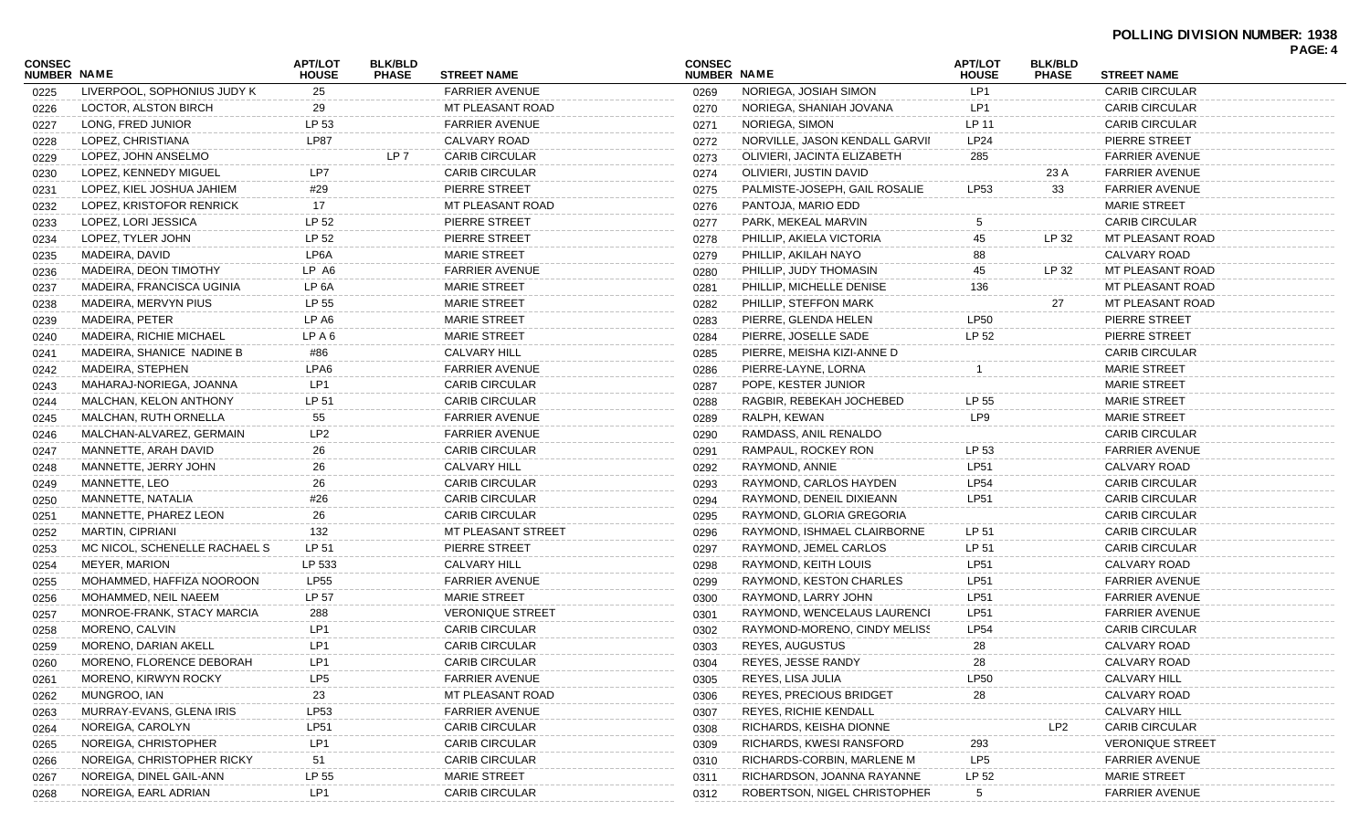| <b>CONSEC</b> |                                | <b>APT/LOT</b>    | <b>BLK/BLD</b>  |                         | <b>CONSEC</b>      |                                | <b>APT/LOT</b>  | <b>BLK/BLD</b>  |                         | PAGE: 4 |
|---------------|--------------------------------|-------------------|-----------------|-------------------------|--------------------|--------------------------------|-----------------|-----------------|-------------------------|---------|
| NUMBER NAME   |                                | <b>HOUSE</b>      | <b>PHASE</b>    | <b>STREET NAME</b>      | <b>NUMBER NAME</b> |                                | <b>HOUSE</b>    | <b>PHASE</b>    | <b>STREET NAME</b>      |         |
| 0225          | LIVERPOOL, SOPHONIUS JUDY K    | 25                |                 | <b>FARRIER AVENUE</b>   | 0269               | NORIEGA, JOSIAH SIMON          | LP1             |                 | <b>CARIB CIRCULAR</b>   |         |
| 0226          | LOCTOR, ALSTON BIRCH           | 29                |                 | MT PLEASANT ROAD        | 0270               | NORIEGA, SHANIAH JOVANA        | LP1             |                 | <b>CARIB CIRCULAR</b>   |         |
| 0227          | LONG, FRED JUNIOR              | LP 53             |                 | <b>FARRIER AVENUE</b>   | 0271               | NORIEGA, SIMON                 | LP 11           |                 | <b>CARIB CIRCULAR</b>   |         |
| 0228          | LOPEZ, CHRISTIANA              | <b>LP87</b>       |                 | CALVARY ROAD            | 0272               | NORVILLE, JASON KENDALL GARVII | <b>LP24</b>     |                 | PIERRE STREET           |         |
| 0229          | LOPEZ, JOHN ANSELMO            |                   | LP <sub>7</sub> | <b>CARIB CIRCULAR</b>   | 0273               | OLIVIERI, JACINTA ELIZABETH    | 285             |                 | <b>FARRIER AVENUE</b>   |         |
| 0230          | LOPEZ, KENNEDY MIGUEL          | LP7               |                 | <b>CARIB CIRCULAR</b>   | 0274               | OLIVIERI, JUSTIN DAVID         |                 | 23 A            | <b>FARRIER AVENUE</b>   |         |
| 0231          | LOPEZ, KIEL JOSHUA JAHIEM      | #29               |                 | PIERRE STREET           | 0275               | PALMISTE-JOSEPH, GAIL ROSALIE  | LP53            | 33              | <b>FARRIER AVENUE</b>   |         |
| 0232          | LOPEZ, KRISTOFOR RENRICK       | 17                |                 | MT PLEASANT ROAD        | 0276               | PANTOJA, MARIO EDD             |                 |                 | <b>MARIE STREET</b>     |         |
| 0233          | LOPEZ, LORI JESSICA            | LP 52             |                 | PIERRE STREET           | 0277               | PARK, MEKEAL MARVIN            | 5               |                 | <b>CARIB CIRCULAR</b>   |         |
| 0234          | LOPEZ, TYLER JOHN              | LP 52             |                 | PIERRE STREET           | 0278               | PHILLIP, AKIELA VICTORIA       | 45              | LP 32           | MT PLEASANT ROAD        |         |
| 0235          | MADEIRA, DAVID                 | LP6A              |                 | <b>MARIE STREET</b>     | 0279               | PHILLIP, AKILAH NAYO           | 88              |                 | CALVARY ROAD            |         |
| 0236          | MADEIRA, DEON TIMOTHY          | LP A6             |                 | <b>FARRIER AVENUE</b>   | 0280               | PHILLIP, JUDY THOMASIN         | 45              | LP 32           | MT PLEASANT ROAD        |         |
| 0237          | MADEIRA, FRANCISCA UGINIA      | LP <sub>6</sub> A |                 | <b>MARIE STREET</b>     | 0281               | PHILLIP, MICHELLE DENISE       | 136             |                 | MT PLEASANT ROAD        |         |
| 0238          | MADEIRA, MERVYN PIUS           | LP 55             |                 | <b>MARIE STREET</b>     | 0282               | PHILLIP, STEFFON MARK          |                 | 27              | MT PLEASANT ROAD        |         |
| 0239          | MADEIRA, PETER                 | LP A6             |                 | <b>MARIE STREET</b>     | 0283               | PIERRE, GLENDA HELEN           | <b>LP50</b>     |                 | PIERRE STREET           |         |
| 0240          | <b>MADEIRA, RICHIE MICHAEL</b> | LP A 6            |                 | <b>MARIE STREET</b>     | 0284               | PIERRE. JOSELLE SADE           | LP 52           |                 | PIERRE STREET           |         |
| 0241          | MADEIRA, SHANICE NADINE B      | #86               |                 | <b>CALVARY HILL</b>     | 0285               | PIERRE, MEISHA KIZI-ANNE D     |                 |                 | <b>CARIB CIRCULAR</b>   |         |
| 0242          | MADEIRA, STEPHEN               | LPA6              |                 | <b>FARRIER AVENUE</b>   | 0286               | PIERRE-LAYNE, LORNA            |                 |                 | <b>MARIE STREET</b>     |         |
| 0243          | MAHARAJ-NORIEGA, JOANNA        | LP1               |                 | <b>CARIB CIRCULAR</b>   | 0287               | POPE, KESTER JUNIOR            |                 |                 | <b>MARIE STREET</b>     |         |
| 0244          | MALCHAN, KELON ANTHONY         | LP 51             |                 | <b>CARIB CIRCULAR</b>   | 0288               | RAGBIR, REBEKAH JOCHEBED       | LP 55           |                 | <b>MARIE STREET</b>     |         |
| 0245          | MALCHAN, RUTH ORNELLA          | 55                |                 | <b>FARRIER AVENUE</b>   | 0289               | RALPH, KEWAN                   | LP9             |                 | <b>MARIE STREET</b>     |         |
| 0246          | MALCHAN-ALVAREZ, GERMAIN       | LP <sub>2</sub>   |                 | <b>FARRIER AVENUE</b>   | 0290               | RAMDASS, ANIL RENALDO          |                 |                 | <b>CARIB CIRCULAR</b>   |         |
| 0247          | MANNETTE, ARAH DAVID           | 26                |                 | <b>CARIB CIRCULAR</b>   | 0291               | RAMPAUL, ROCKEY RON            | LP 53           |                 | <b>FARRIER AVENUE</b>   |         |
| 0248          | MANNETTE, JERRY JOHN           | 26                |                 | <b>CALVARY HILL</b>     | 0292               | RAYMOND, ANNIE                 | <b>LP51</b>     |                 | CALVARY ROAD            |         |
| 0249          | MANNETTE, LEO                  | 26                |                 | <b>CARIB CIRCULAR</b>   | 0293               | RAYMOND, CARLOS HAYDEN         | <b>LP54</b>     |                 | <b>CARIB CIRCULAR</b>   |         |
| 0250          | MANNETTE, NATALIA              | #26               |                 | <b>CARIB CIRCULAR</b>   | 0294               | RAYMOND, DENEIL DIXIEANN       | <b>LP51</b>     |                 | <b>CARIB CIRCULAR</b>   |         |
| 0251          | MANNETTE, PHAREZ LEON          | 26                |                 | <b>CARIB CIRCULAR</b>   | 0295               | RAYMOND, GLORIA GREGORIA       |                 |                 | <b>CARIB CIRCULAR</b>   |         |
| 0252          | MARTIN, CIPRIANI               | 132               |                 | MT PLEASANT STREET      | 0296               | RAYMOND, ISHMAEL CLAIRBORNE    | LP 51           |                 | <b>CARIB CIRCULAR</b>   |         |
| 0253          | MC NICOL, SCHENELLE RACHAEL S  | LP 51             |                 | PIERRE STREET           | 0297               | RAYMOND, JEMEL CARLOS          | LP 51           |                 | <b>CARIB CIRCULAR</b>   |         |
| 0254          | MEYER, MARION                  | LP 533            |                 | <b>CALVARY HILL</b>     | 0298               | RAYMOND, KEITH LOUIS           | <b>LP51</b>     |                 | CALVARY ROAD            |         |
| 0255          | MOHAMMED, HAFFIZA NOOROON      | <b>LP55</b>       |                 | <b>FARRIER AVENUE</b>   | 0299               | RAYMOND, KESTON CHARLES        | <b>LP51</b>     |                 | <b>FARRIER AVENUE</b>   |         |
| 0256          | MOHAMMED, NEIL NAEEM           | LP 57             |                 | <b>MARIE STREET</b>     | 0300               | RAYMOND, LARRY JOHN            | <b>LP51</b>     |                 | <b>FARRIER AVENUE</b>   |         |
| 0257          | MONROE-FRANK, STACY MARCIA     | 288               |                 | <b>VERONIQUE STREET</b> | 0301               | RAYMOND, WENCELAUS LAURENCI    | <b>LP51</b>     |                 | <b>FARRIER AVENUE</b>   |         |
| 0258          | MORENO, CALVIN                 | LP <sub>1</sub>   |                 | <b>CARIB CIRCULAR</b>   | 0302               | RAYMOND-MORENO, CINDY MELISS   | <b>LP54</b>     |                 | <b>CARIB CIRCULAR</b>   |         |
| 0259          | MORENO, DARIAN AKELL           | LP1               |                 | <b>CARIB CIRCULAR</b>   | 0303               | <b>REYES, AUGUSTUS</b>         | 28              |                 | CALVARY ROAD            |         |
| 0260          | MORENO, FLORENCE DEBORAH       | LP1               |                 | <b>CARIB CIRCULAR</b>   | 0304               | REYES, JESSE RANDY             | 28              |                 | CALVARY ROAD            |         |
| 0261          | MORENO, KIRWYN ROCKY           | LP <sub>5</sub>   |                 | <b>FARRIER AVENUE</b>   | 0305               | REYES, LISA JULIA              | <b>LP50</b>     |                 | <b>CALVARY HILL</b>     |         |
| 0262          | MUNGROO, IAN                   | 23                |                 | MT PLEASANT ROAD        | 0306               | <b>REYES, PRECIOUS BRIDGET</b> | 28              |                 | <b>CALVARY ROAD</b>     |         |
| 0263          | MURRAY-EVANS, GLENA IRIS       | LP53              |                 | <b>FARRIER AVENUE</b>   | 0307               | REYES, RICHIE KENDALL          |                 |                 | <b>CALVARY HILL</b>     |         |
| 0264          | NOREIGA, CAROLYN               | <b>LP51</b>       |                 | <b>CARIB CIRCULAR</b>   | 0308               | RICHARDS, KEISHA DIONNE        |                 | LP <sub>2</sub> | <b>CARIB CIRCULAR</b>   |         |
| 0265          | NOREIGA, CHRISTOPHER           | LP1               |                 | <b>CARIB CIRCULAR</b>   | 0309               | RICHARDS, KWESI RANSFORD       | 293             |                 | <b>VERONIQUE STREET</b> |         |
| 0266          | NOREIGA, CHRISTOPHER RICKY     | 51                |                 | <b>CARIB CIRCULAR</b>   | 0310               | RICHARDS-CORBIN, MARLENE M     | LP <sub>5</sub> |                 | <b>FARRIER AVENUE</b>   |         |
| 0267          | NOREIGA, DINEL GAIL-ANN        | LP 55             |                 | <b>MARIE STREET</b>     | 0311               | RICHARDSON, JOANNA RAYANNE     | LP 52           |                 | <b>MARIE STREET</b>     |         |
| 0268          | NOREIGA, EARL ADRIAN           | LP1               |                 | <b>CARIB CIRCULAR</b>   | 0312               | ROBERTSON, NIGEL CHRISTOPHER   | 5               |                 | <b>FARRIER AVENUE</b>   |         |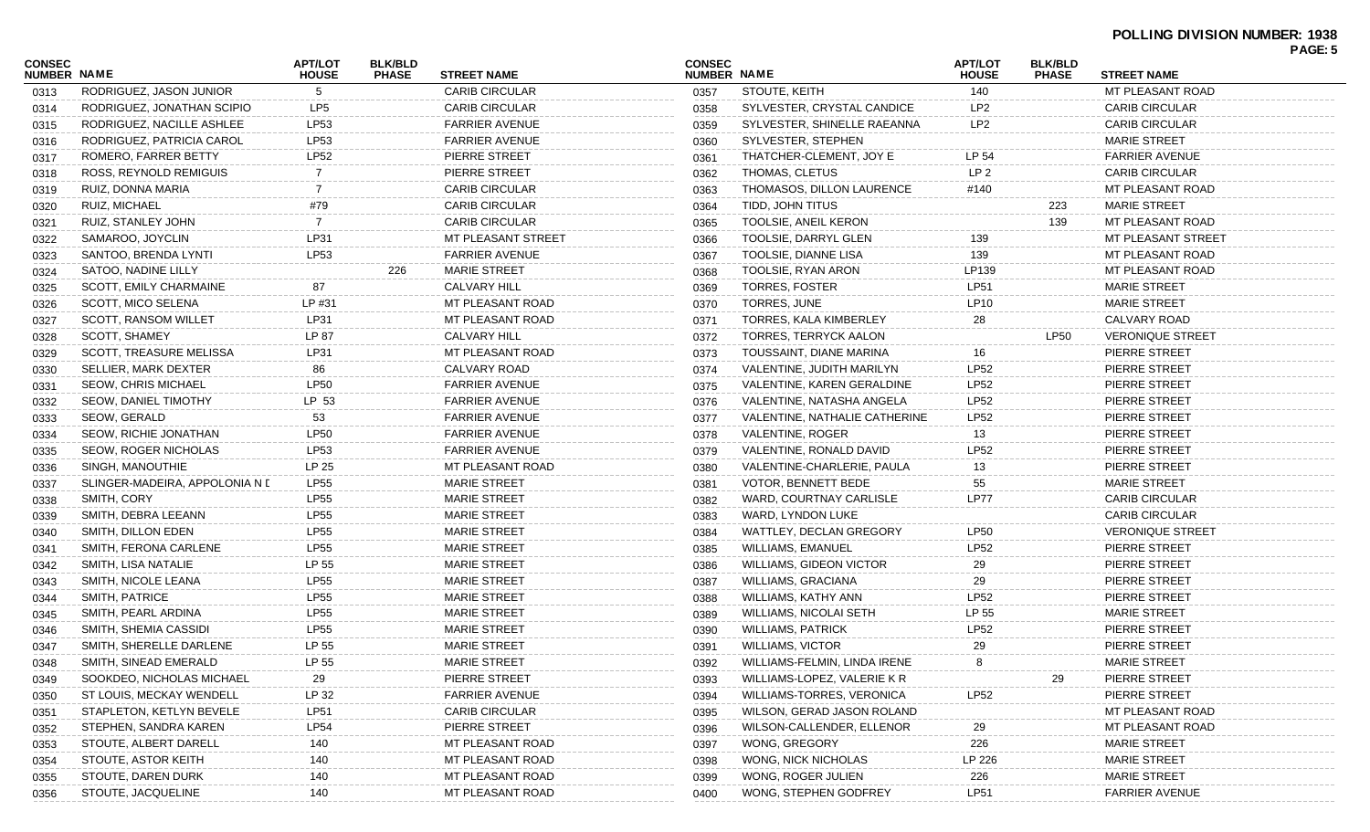| <b>CONSEC</b>      |                                | <b>APT/LOT</b>  | <b>BLK/BLD</b> |                       | <b>CONSEC</b> |                                  | <b>APT/LOT</b>  | <b>BLK/BLD</b> |                         | PAGE: 5 |
|--------------------|--------------------------------|-----------------|----------------|-----------------------|---------------|----------------------------------|-----------------|----------------|-------------------------|---------|
| <b>NUMBER NAME</b> |                                | <b>HOUSE</b>    | <b>PHASE</b>   | <b>STREET NAME</b>    | NUMBER NAME   |                                  | <b>HOUSE</b>    | <b>PHASE</b>   | <b>STREET NAME</b>      |         |
| 0313               | RODRIGUEZ, JASON JUNIOR        | 5               |                | <b>CARIB CIRCULAR</b> | 0357          | STOUTE, KEITH                    | 140             |                | MT PLEASANT ROAD        |         |
| 0314               | RODRIGUEZ, JONATHAN SCIPIO     | LP <sub>5</sub> |                | <b>CARIB CIRCULAR</b> | 0358          | SYLVESTER, CRYSTAL CANDICE       | LP <sub>2</sub> |                | <b>CARIB CIRCULAR</b>   |         |
| 0315               | RODRIGUEZ, NACILLE ASHLEE      | LP53            |                | <b>FARRIER AVENUE</b> | 0359          | SYLVESTER, SHINELLE RAEANNA      | LP <sub>2</sub> |                | <b>CARIB CIRCULAR</b>   |         |
| 0316               | RODRIGUEZ, PATRICIA CAROL      | LP53            |                | <b>FARRIER AVENUE</b> | 0360          | SYLVESTER, STEPHEN               |                 |                | <b>MARIE STREET</b>     |         |
| 0317               | ROMERO, FARRER BETTY           | <b>LP52</b>     |                | PIERRE STREET         | 0361          | THATCHER-CLEMENT, JOY E          | LP 54           |                | <b>FARRIER AVENUE</b>   |         |
| 0318               | ROSS, REYNOLD REMIGUIS         | 7               |                | PIERRE STREET         | 0362          | THOMAS, CLETUS                   | LP <sub>2</sub> |                | <b>CARIB CIRCULAR</b>   |         |
| 0319               | RUIZ, DONNA MARIA              | 7               |                | <b>CARIB CIRCULAR</b> | 0363          | THOMASOS, DILLON LAURENCE        | #140            |                | MT PLEASANT ROAD        |         |
| 0320               | RUIZ, MICHAEL                  | #79             |                | <b>CARIB CIRCULAR</b> | 0364          | TIDD, JOHN TITUS                 |                 | 223            | <b>MARIE STREET</b>     |         |
| 0321               | RUIZ, STANLEY JOHN             | $\overline{7}$  |                | <b>CARIB CIRCULAR</b> | 0365          | TOOLSIE, ANEIL KERON             |                 | 139            | MT PLEASANT ROAD        |         |
| 0322               | SAMAROO, JOYCLIN               | LP31            |                | MT PLEASANT STREET    | 0366          | TOOLSIE, DARRYL GLEN             | 139             |                | MT PLEASANT STREET      |         |
| 0323               | SANTOO, BRENDA LYNTI           | LP53            |                | <b>FARRIER AVENUE</b> | 0367          | TOOLSIE, DIANNE LISA             | 139             |                | MT PLEASANT ROAD        |         |
| 0324               | SATOO, NADINE LILLY            |                 | 226            | <b>MARIE STREET</b>   | 0368          | TOOLSIE, RYAN ARON               | LP139           |                | MT PLEASANT ROAD        |         |
| 0325               | SCOTT, EMILY CHARMAINE         | 87              |                | <b>CALVARY HILL</b>   | 0369          | <b>TORRES, FOSTER</b>            | <b>LP51</b>     |                | <b>MARIE STREET</b>     |         |
| 0326               | SCOTT, MICO SELENA             | LP #31          |                | MT PLEASANT ROAD      | 0370          | TORRES, JUNE                     | LP10            |                | <b>MARIE STREET</b>     |         |
| 0327               | SCOTT, RANSOM WILLET           | LP31            |                | MT PLEASANT ROAD      | 0371          | <b>TORRES, KALA KIMBERLEY</b>    | 28              |                | CALVARY ROAD            |         |
| 0328               | SCOTT, SHAMEY                  | LP 87           |                | <b>CALVARY HILL</b>   | 0372          | TORRES, TERRYCK AALON            |                 | <b>LP50</b>    | <b>VERONIQUE STREET</b> |         |
| 0329               | <b>SCOTT, TREASURE MELISSA</b> | LP31            |                | MT PLEASANT ROAD      | 0373          | TOUSSAINT, DIANE MARINA          | 16              |                | PIERRE STREET           |         |
| 0330               | SELLIER, MARK DEXTER           | 86              |                | CALVARY ROAD          | 0374          | VALENTINE, JUDITH MARILYN        | <b>LP52</b>     |                | PIERRE STREET           |         |
| 0331               | <b>SEOW, CHRIS MICHAEL</b>     | LP50            |                | <b>FARRIER AVENUE</b> | 0375          | VALENTINE, KAREN GERALDINE       | <b>LP52</b>     |                | PIERRE STREET           |         |
| 0332               | <b>SEOW, DANIEL TIMOTHY</b>    | LP 53           |                | <b>FARRIER AVENUE</b> | 0376          | VALENTINE, NATASHA ANGELA        | <b>LP52</b>     |                | PIERRE STREET           |         |
| 0333               | SEOW. GERALD                   | 53              |                | <b>FARRIER AVENUE</b> | 0377          | VALENTINE, NATHALIE CATHERINE    | <b>LP52</b>     |                | PIERRE STREET           |         |
| 0334               | SEOW, RICHIE JONATHAN          | LP50            |                | <b>FARRIER AVENUE</b> | 0378          | VALENTINE, ROGER                 | 13              |                | PIERRE STREET           |         |
| 0335               | <b>SEOW, ROGER NICHOLAS</b>    | LP53            |                | <b>FARRIER AVENUE</b> | 0379          | VALENTINE, RONALD DAVID          | <b>LP52</b>     |                | PIERRE STREET           |         |
| 0336               | SINGH, MANOUTHIE               | LP 25           |                | MT PLEASANT ROAD      | 0380          | VALENTINE-CHARLERIE, PAULA       | 13              |                | PIERRE STREET           |         |
| 0337               | SLINGER-MADEIRA, APPOLONIA N [ | <b>LP55</b>     |                | <b>MARIE STREET</b>   | 0381          | <b>VOTOR, BENNETT BEDE</b>       | 55              |                | <b>MARIE STREET</b>     |         |
| 0338               | SMITH, CORY                    | <b>LP55</b>     |                | <b>MARIE STREET</b>   | 0382          | WARD, COURTNAY CARLISLE          | LP77            |                | <b>CARIB CIRCULAR</b>   |         |
| 0339               | SMITH, DEBRA LEEANN            | <b>LP55</b>     |                | <b>MARIE STREET</b>   | 0383          | WARD, LYNDON LUKE                |                 |                | <b>CARIB CIRCULAR</b>   |         |
| 0340               | SMITH, DILLON EDEN             | <b>LP55</b>     |                | <b>MARIE STREET</b>   | 0384          | WATTLEY, DECLAN GREGORY          | <b>LP50</b>     |                | <b>VERONIQUE STREET</b> |         |
| 0341               | SMITH, FERONA CARLENE          | <b>LP55</b>     |                | <b>MARIE STREET</b>   | 0385          | WILLIAMS, EMANUEL                | <b>LP52</b>     |                | PIERRE STREET           |         |
| 0342               | SMITH, LISA NATALIE            | LP 55           |                | <b>MARIE STREET</b>   | 0386          | <b>WILLIAMS, GIDEON VICTOR</b>   | 29              |                | PIERRE STREET           |         |
| 0343               | SMITH, NICOLE LEANA            | <b>LP55</b>     |                | <b>MARIE STREET</b>   | 0387          | WILLIAMS, GRACIANA               | 29              |                | PIERRE STREET           |         |
| 0344               | SMITH, PATRICE                 | <b>LP55</b>     |                | <b>MARIE STREET</b>   | 0388          | WILLIAMS, KATHY ANN              | <b>LP52</b>     |                | PIERRE STREET           |         |
| 0345               | SMITH, PEARL ARDINA            | <b>LP55</b>     |                | <b>MARIE STREET</b>   | 0389          | WILLIAMS, NICOLAI SETH           | LP 55           |                | <b>MARIE STREET</b>     |         |
| 0346               | SMITH, SHEMIA CASSIDI          | LP55            |                | <b>MARIE STREET</b>   | 0390          | <b>WILLIAMS, PATRICK</b>         | <b>LP52</b>     |                | PIERRE STREET           |         |
| 0347               | SMITH, SHERELLE DARLENE        | LP 55           |                | <b>MARIE STREET</b>   | 0391          | <b>WILLIAMS, VICTOR</b>          | 29              |                | PIERRE STREET           |         |
| 0348               | SMITH, SINEAD EMERALD          | LP 55           |                | <b>MARIE STREET</b>   | 0392          | WILLIAMS-FELMIN, LINDA IRENE     | 8               |                | <b>MARIE STREET</b>     |         |
| 0349               | SOOKDEO, NICHOLAS MICHAEL      | 29              |                | PIERRE STREET         | 0393          | WILLIAMS-LOPEZ, VALERIE K R      |                 | 29             | PIERRE STREET           |         |
| 0350               | ST LOUIS, MECKAY WENDELL       | LP 32           |                | <b>FARRIER AVENUE</b> | 0394          | <b>WILLIAMS-TORRES, VERONICA</b> | LP52            |                | PIERRE STREET           |         |
| 0351               | STAPLETON, KETLYN BEVELE       | <b>LP51</b>     |                | <b>CARIB CIRCULAR</b> | 0395          | WILSON, GERAD JASON ROLAND       |                 |                | MT PLEASANT ROAD        |         |
| 0352               | STEPHEN, SANDRA KAREN          | <b>LP54</b>     |                | PIERRE STREET         | 0396          | WILSON-CALLENDER, ELLENOR        | 29              |                | MT PLEASANT ROAD        |         |
| 0353               | STOUTE, ALBERT DARELL          | 140             |                | MT PLEASANT ROAD      | 0397          | WONG, GREGORY                    | 226             |                | <b>MARIE STREET</b>     |         |
| 0354               | STOUTE, ASTOR KEITH            | 140             |                | MT PLEASANT ROAD      | 0398          | WONG, NICK NICHOLAS              | LP 226          |                | <b>MARIE STREET</b>     |         |
| 0355               | STOUTE, DAREN DURK             | 140             |                | MT PLEASANT ROAD      | 0399          | WONG, ROGER JULIEN               | 226             |                | <b>MARIE STREET</b>     |         |
| 0356               | STOUTE, JACQUELINE             | 140             |                | MT PLEASANT ROAD      | 0400          | WONG, STEPHEN GODFREY            | <b>LP51</b>     |                | <b>FARRIER AVENUE</b>   |         |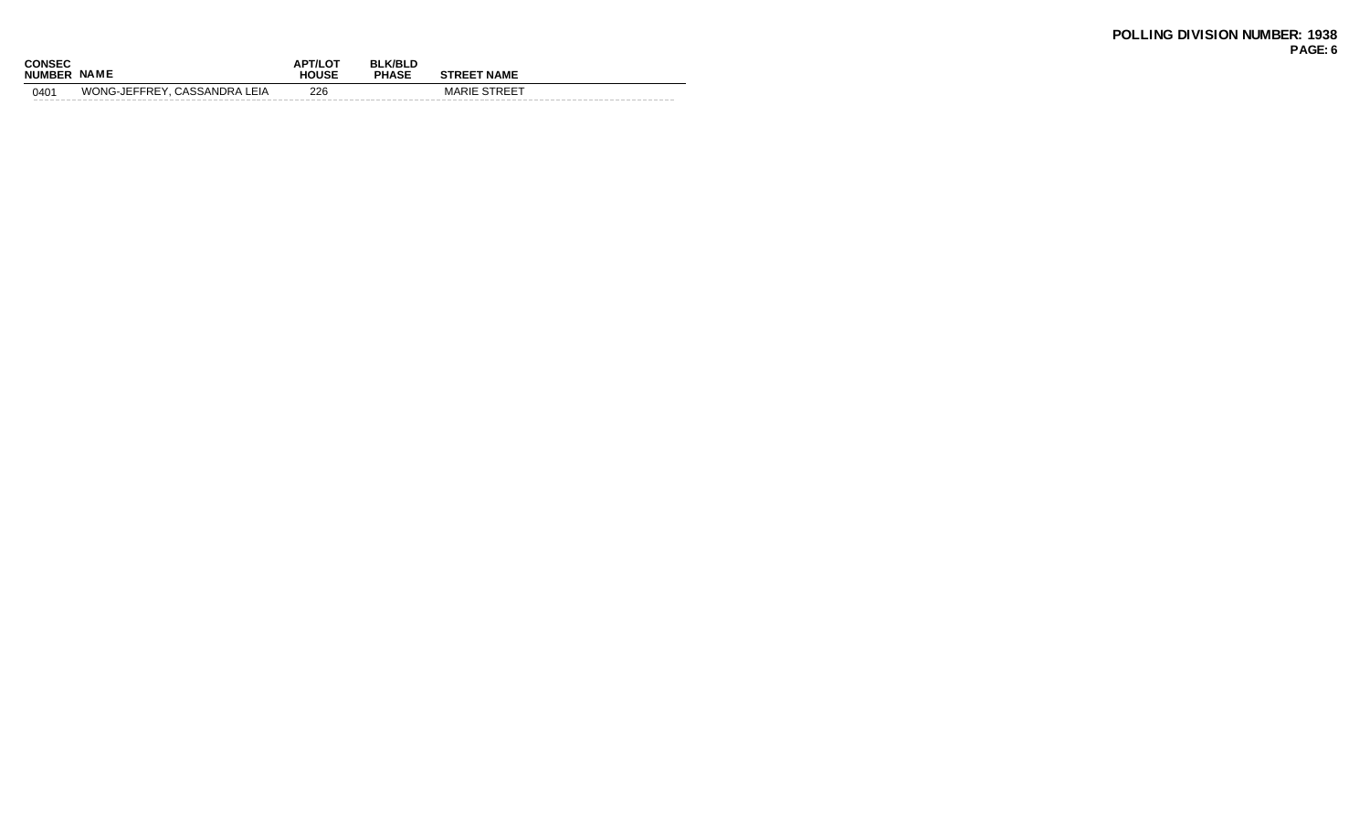| <b>CONSEC</b><br><b>NUMBER</b> | <b>NAME</b>                  | <b>APT/LOT</b><br><b>HOUSE</b> | <b>BLK/BLD</b><br><b>PHASE</b> | <b>STREET NAME</b>  |
|--------------------------------|------------------------------|--------------------------------|--------------------------------|---------------------|
| 0401                           | WONG-JEFFREY, CASSANDRA LEIA | 226                            |                                | <b>MARIE STREET</b> |